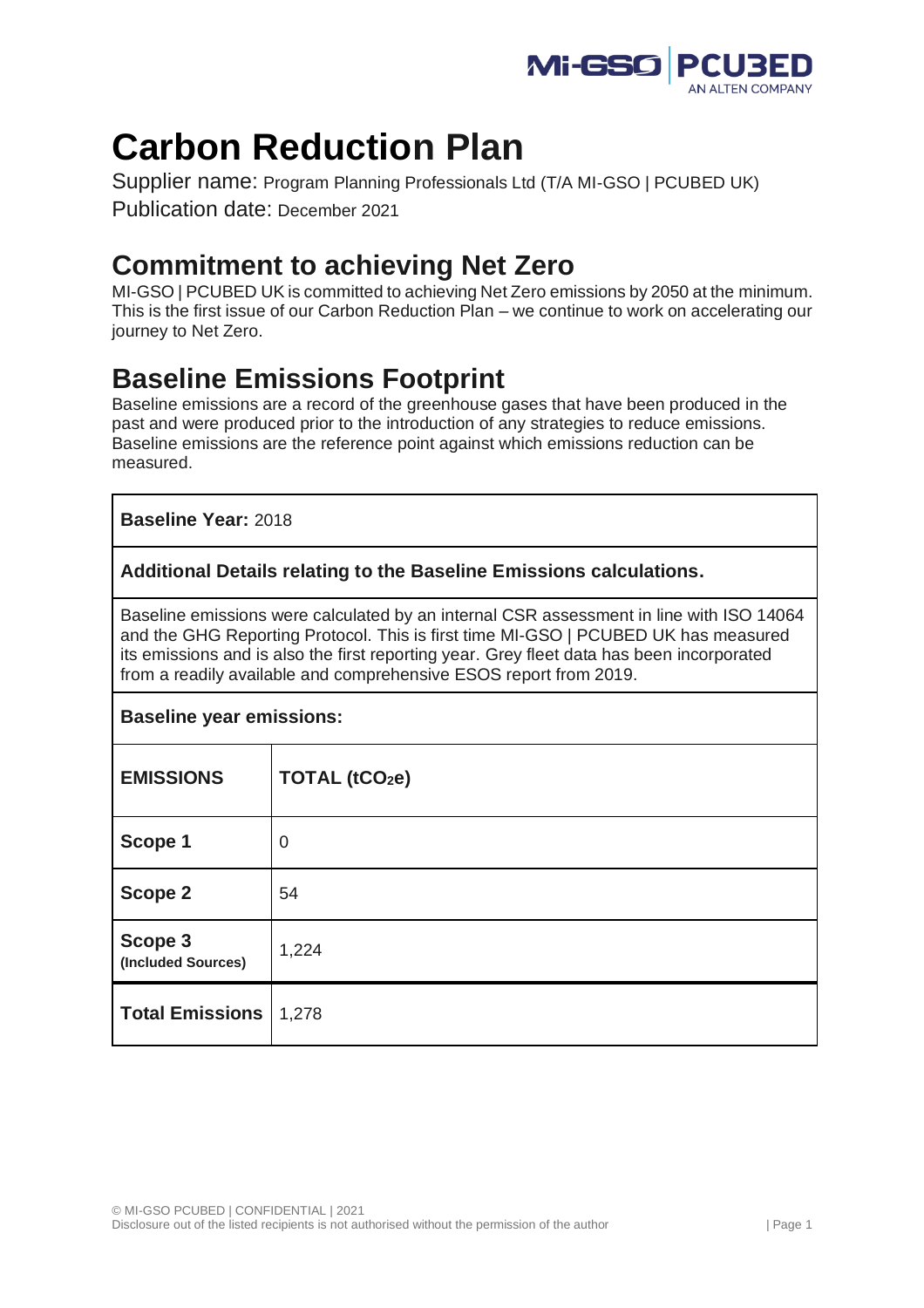

# **Carbon Reduction Plan**

Supplier name: Program Planning Professionals Ltd (T/A MI-GSO | PCUBED UK) Publication date: December 2021

# **Commitment to achieving Net Zero**

MI-GSO | PCUBED UK is committed to achieving Net Zero emissions by 2050 at the minimum. This is the first issue of our Carbon Reduction Plan – we continue to work on accelerating our journey to Net Zero.

# **Baseline Emissions Footprint**

Baseline emissions are a record of the greenhouse gases that have been produced in the past and were produced prior to the introduction of any strategies to reduce emissions. Baseline emissions are the reference point against which emissions reduction can be measured.

## **Baseline Year:** 2018

### **Additional Details relating to the Baseline Emissions calculations.**

Baseline emissions were calculated by an internal CSR assessment in line with ISO 14064 and the GHG Reporting Protocol. This is first time MI-GSO | PCUBED UK has measured its emissions and is also the first reporting year. Grey fleet data has been incorporated from a readily available and comprehensive ESOS report from 2019.

#### **Baseline year emissions:**

| <b>EMISSIONS</b>              | TOTAL (tCO <sub>2</sub> e) |
|-------------------------------|----------------------------|
| Scope 1                       | $\mathbf 0$                |
| Scope 2                       | 54                         |
| Scope 3<br>(Included Sources) | 1,224                      |
| <b>Total Emissions</b>        | 1,278                      |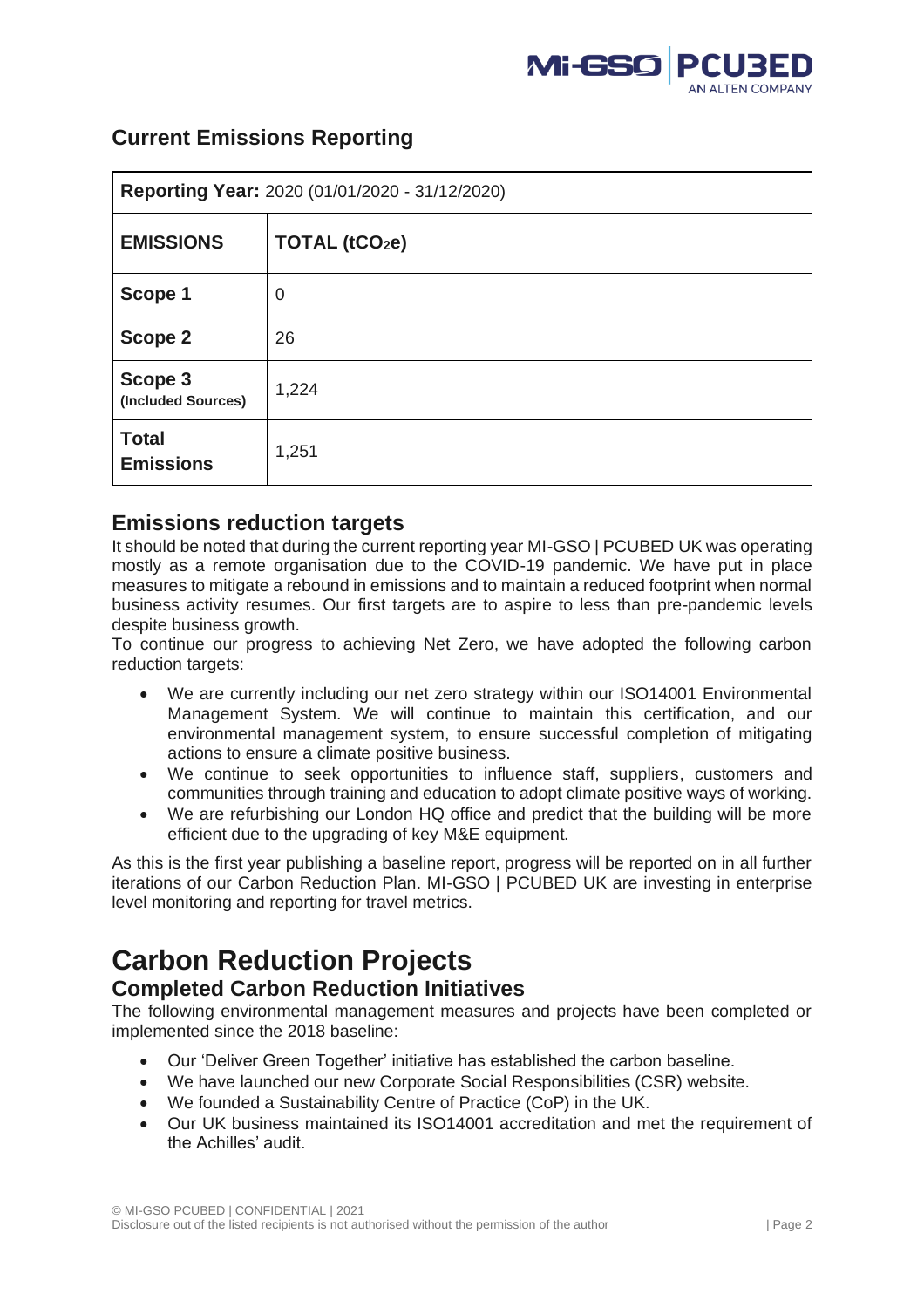

| Reporting Year: 2020 (01/01/2020 - 31/12/2020) |                            |  |
|------------------------------------------------|----------------------------|--|
| <b>EMISSIONS</b>                               | TOTAL (tCO <sub>2</sub> e) |  |
| Scope 1                                        | $\mathbf 0$                |  |
| Scope 2                                        | 26                         |  |
| Scope 3<br>(Included Sources)                  | 1,224                      |  |
| <b>Total</b><br><b>Emissions</b>               | 1,251                      |  |

# **Current Emissions Reporting**

# **Emissions reduction targets**

It should be noted that during the current reporting year MI-GSO | PCUBED UK was operating mostly as a remote organisation due to the COVID-19 pandemic. We have put in place measures to mitigate a rebound in emissions and to maintain a reduced footprint when normal business activity resumes. Our first targets are to aspire to less than pre-pandemic levels despite business growth.

To continue our progress to achieving Net Zero, we have adopted the following carbon reduction targets:

- We are currently including our net zero strategy within our ISO14001 Environmental Management System. We will continue to maintain this certification, and our environmental management system, to ensure successful completion of mitigating actions to ensure a climate positive business.
- We continue to seek opportunities to influence staff, suppliers, customers and communities through training and education to adopt climate positive ways of working.
- We are refurbishing our London HQ office and predict that the building will be more efficient due to the upgrading of key M&E equipment.

As this is the first year publishing a baseline report, progress will be reported on in all further iterations of our Carbon Reduction Plan. MI-GSO | PCUBED UK are investing in enterprise level monitoring and reporting for travel metrics.

# **Carbon Reduction Projects**

## **Completed Carbon Reduction Initiatives**

The following environmental management measures and projects have been completed or implemented since the 2018 baseline:

- Our 'Deliver Green Together' initiative has established the carbon baseline.
- We have launched our new Corporate Social Responsibilities (CSR) website.
- We founded a Sustainability Centre of Practice (CoP) in the UK.
- Our UK business maintained its ISO14001 accreditation and met the requirement of the Achilles' audit.